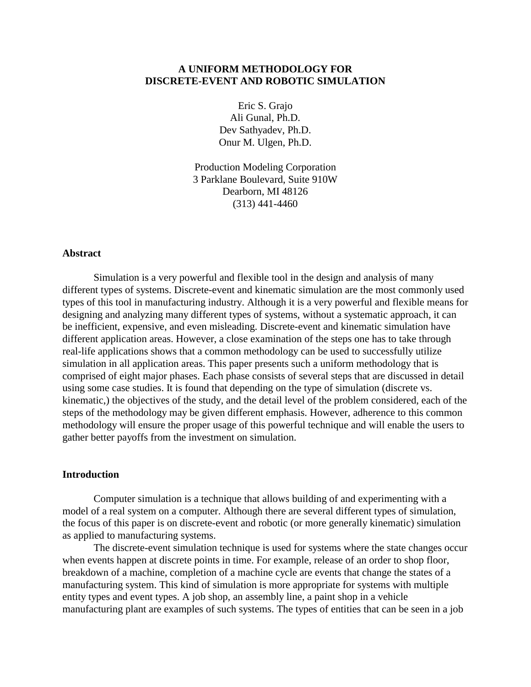# **A UNIFORM METHODOLOGY FOR DISCRETE-EVENT AND ROBOTIC SIMULATION**

Eric S. Grajo Ali Gunal, Ph.D. Dev Sathyadev, Ph.D. Onur M. Ulgen, Ph.D.

Production Modeling Corporation 3 Parklane Boulevard, Suite 910W Dearborn, MI 48126 (313) 441-4460

## **Abstract**

 Simulation is a very powerful and flexible tool in the design and analysis of many different types of systems. Discrete-event and kinematic simulation are the most commonly used types of this tool in manufacturing industry. Although it is a very powerful and flexible means for designing and analyzing many different types of systems, without a systematic approach, it can be inefficient, expensive, and even misleading. Discrete-event and kinematic simulation have different application areas. However, a close examination of the steps one has to take through real-life applications shows that a common methodology can be used to successfully utilize simulation in all application areas. This paper presents such a uniform methodology that is comprised of eight major phases. Each phase consists of several steps that are discussed in detail using some case studies. It is found that depending on the type of simulation (discrete vs. kinematic,) the objectives of the study, and the detail level of the problem considered, each of the steps of the methodology may be given different emphasis. However, adherence to this common methodology will ensure the proper usage of this powerful technique and will enable the users to gather better payoffs from the investment on simulation.

#### **Introduction**

 Computer simulation is a technique that allows building of and experimenting with a model of a real system on a computer. Although there are several different types of simulation, the focus of this paper is on discrete-event and robotic (or more generally kinematic) simulation as applied to manufacturing systems.

 The discrete-event simulation technique is used for systems where the state changes occur when events happen at discrete points in time. For example, release of an order to shop floor, breakdown of a machine, completion of a machine cycle are events that change the states of a manufacturing system. This kind of simulation is more appropriate for systems with multiple entity types and event types. A job shop, an assembly line, a paint shop in a vehicle manufacturing plant are examples of such systems. The types of entities that can be seen in a job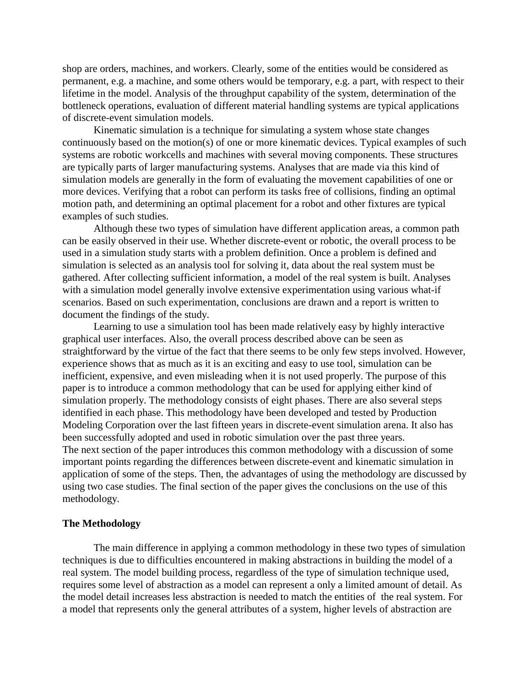shop are orders, machines, and workers. Clearly, some of the entities would be considered as permanent, e.g. a machine, and some others would be temporary, e.g. a part, with respect to their lifetime in the model. Analysis of the throughput capability of the system, determination of the bottleneck operations, evaluation of different material handling systems are typical applications of discrete-event simulation models.

 Kinematic simulation is a technique for simulating a system whose state changes continuously based on the motion(s) of one or more kinematic devices. Typical examples of such systems are robotic workcells and machines with several moving components. These structures are typically parts of larger manufacturing systems. Analyses that are made via this kind of simulation models are generally in the form of evaluating the movement capabilities of one or more devices. Verifying that a robot can perform its tasks free of collisions, finding an optimal motion path, and determining an optimal placement for a robot and other fixtures are typical examples of such studies.

 Although these two types of simulation have different application areas, a common path can be easily observed in their use. Whether discrete-event or robotic, the overall process to be used in a simulation study starts with a problem definition. Once a problem is defined and simulation is selected as an analysis tool for solving it, data about the real system must be gathered. After collecting sufficient information, a model of the real system is built. Analyses with a simulation model generally involve extensive experimentation using various what-if scenarios. Based on such experimentation, conclusions are drawn and a report is written to document the findings of the study.

 Learning to use a simulation tool has been made relatively easy by highly interactive graphical user interfaces. Also, the overall process described above can be seen as straightforward by the virtue of the fact that there seems to be only few steps involved. However, experience shows that as much as it is an exciting and easy to use tool, simulation can be inefficient, expensive, and even misleading when it is not used properly. The purpose of this paper is to introduce a common methodology that can be used for applying either kind of simulation properly. The methodology consists of eight phases. There are also several steps identified in each phase. This methodology have been developed and tested by Production Modeling Corporation over the last fifteen years in discrete-event simulation arena. It also has been successfully adopted and used in robotic simulation over the past three years. The next section of the paper introduces this common methodology with a discussion of some important points regarding the differences between discrete-event and kinematic simulation in application of some of the steps. Then, the advantages of using the methodology are discussed by using two case studies. The final section of the paper gives the conclusions on the use of this methodology.

#### **The Methodology**

 The main difference in applying a common methodology in these two types of simulation techniques is due to difficulties encountered in making abstractions in building the model of a real system. The model building process, regardless of the type of simulation technique used, requires some level of abstraction as a model can represent a only a limited amount of detail. As the model detail increases less abstraction is needed to match the entities of the real system. For a model that represents only the general attributes of a system, higher levels of abstraction are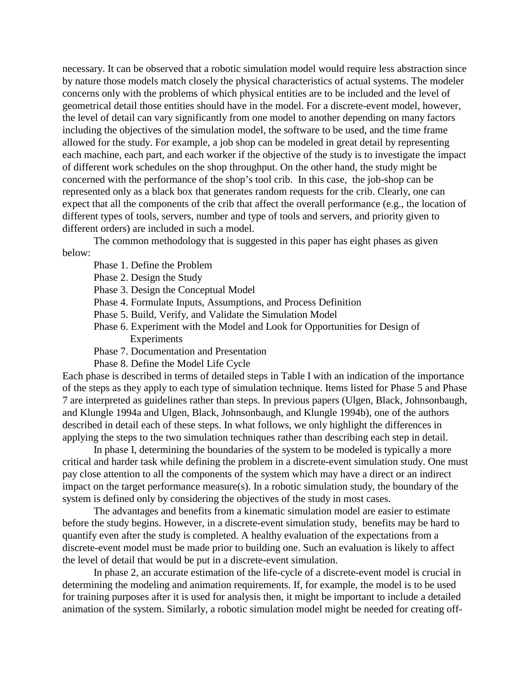necessary. It can be observed that a robotic simulation model would require less abstraction since by nature those models match closely the physical characteristics of actual systems. The modeler concerns only with the problems of which physical entities are to be included and the level of geometrical detail those entities should have in the model. For a discrete-event model, however, the level of detail can vary significantly from one model to another depending on many factors including the objectives of the simulation model, the software to be used, and the time frame allowed for the study. For example, a job shop can be modeled in great detail by representing each machine, each part, and each worker if the objective of the study is to investigate the impact of different work schedules on the shop throughput. On the other hand, the study might be concerned with the performance of the shop's tool crib. In this case, the job-shop can be represented only as a black box that generates random requests for the crib. Clearly, one can expect that all the components of the crib that affect the overall performance (e.g., the location of different types of tools, servers, number and type of tools and servers, and priority given to different orders) are included in such a model.

 The common methodology that is suggested in this paper has eight phases as given below:

- Phase 1. Define the Problem
- Phase 2. Design the Study
- Phase 3. Design the Conceptual Model
- Phase 4. Formulate Inputs, Assumptions, and Process Definition
- Phase 5. Build, Verify, and Validate the Simulation Model
- Phase 6. Experiment with the Model and Look for Opportunities for Design of Experiments
- Phase 7. Documentation and Presentation
- Phase 8. Define the Model Life Cycle

Each phase is described in terms of detailed steps in Table I with an indication of the importance of the steps as they apply to each type of simulation technique. Items listed for Phase 5 and Phase 7 are interpreted as guidelines rather than steps. In previous papers (Ulgen, Black, Johnsonbaugh, and Klungle 1994a and Ulgen, Black, Johnsonbaugh, and Klungle 1994b), one of the authors described in detail each of these steps. In what follows, we only highlight the differences in applying the steps to the two simulation techniques rather than describing each step in detail.

 In phase I, determining the boundaries of the system to be modeled is typically a more critical and harder task while defining the problem in a discrete-event simulation study. One must pay close attention to all the components of the system which may have a direct or an indirect impact on the target performance measure(s). In a robotic simulation study, the boundary of the system is defined only by considering the objectives of the study in most cases.

 The advantages and benefits from a kinematic simulation model are easier to estimate before the study begins. However, in a discrete-event simulation study, benefits may be hard to quantify even after the study is completed. A healthy evaluation of the expectations from a discrete-event model must be made prior to building one. Such an evaluation is likely to affect the level of detail that would be put in a discrete-event simulation.

 In phase 2, an accurate estimation of the life-cycle of a discrete-event model is crucial in determining the modeling and animation requirements. If, for example, the model is to be used for training purposes after it is used for analysis then, it might be important to include a detailed animation of the system. Similarly, a robotic simulation model might be needed for creating off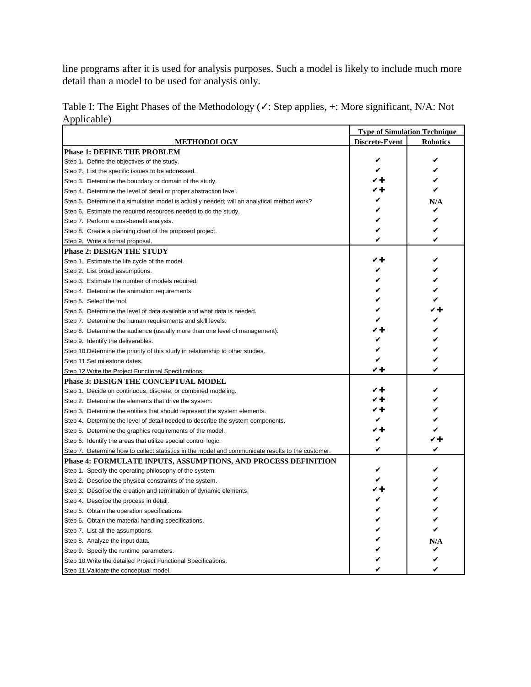line programs after it is used for analysis purposes. Such a model is likely to include much more detail than a model to be used for analysis only.

|                                                                                                   |                       | <b>Type of Simulation Technique</b> |  |  |
|---------------------------------------------------------------------------------------------------|-----------------------|-------------------------------------|--|--|
| <u> METHODOLOGY</u>                                                                               | <u>Discrete-Event</u> | <b>Robotics</b>                     |  |  |
| <b>Phase 1: DEFINE THE PROBLEM</b>                                                                |                       |                                     |  |  |
| Step 1. Define the objectives of the study.                                                       | V                     | V                                   |  |  |
| Step 2. List the specific issues to be addressed.                                                 | ✔                     |                                     |  |  |
| Step 3. Determine the boundary or domain of the study.                                            | ✓╈                    |                                     |  |  |
| Step 4. Determine the level of detail or proper abstraction level.                                | ∕ +                   | V                                   |  |  |
| Step 5. Determine if a simulation model is actually needed; will an analytical method work?       | V                     | N/A                                 |  |  |
| Step 6. Estimate the required resources needed to do the study.                                   | V                     | v                                   |  |  |
| Step 7. Perform a cost-benefit analysis.                                                          | V                     |                                     |  |  |
| Step 8. Create a planning chart of the proposed project.                                          | V                     |                                     |  |  |
| Step 9. Write a formal proposal.                                                                  | V                     |                                     |  |  |
| <b>Phase 2: DESIGN THE STUDY</b>                                                                  |                       |                                     |  |  |
| Step 1. Estimate the life cycle of the model.                                                     | ✓+                    | V                                   |  |  |
| Step 2. List broad assumptions.                                                                   | V                     |                                     |  |  |
| Step 3. Estimate the number of models required.                                                   | V                     |                                     |  |  |
| Step 4. Determine the animation requirements.                                                     | V                     |                                     |  |  |
| Step 5. Select the tool.                                                                          | V                     |                                     |  |  |
| Step 6. Determine the level of data available and what data is needed.                            | ✔                     |                                     |  |  |
| Step 7. Determine the human requirements and skill levels.                                        | ✔                     |                                     |  |  |
| Step 8. Determine the audience (usually more than one level of management).                       | ╱┿                    |                                     |  |  |
| Step 9. Identify the deliverables.                                                                | V                     |                                     |  |  |
| Step 10. Determine the priority of this study in relationship to other studies.                   | V                     |                                     |  |  |
| Step 11.Set milestone dates.                                                                      | V                     |                                     |  |  |
| Step 12. Write the Project Functional Specifications.                                             | レキ                    | V                                   |  |  |
| <b>Phase 3: DESIGN THE CONCEPTUAL MODEL</b>                                                       |                       |                                     |  |  |
| Step 1. Decide on continuous, discrete, or combined modeling.                                     | ✓+                    |                                     |  |  |
| Step 2. Determine the elements that drive the system.                                             | ╱┿                    |                                     |  |  |
| Step 3. Determine the entities that should represent the system elements.                         | ╱┿                    |                                     |  |  |
| Step 4. Determine the level of detail needed to describe the system components.                   | V                     |                                     |  |  |
| Step 5. Determine the graphics requirements of the model.                                         | ✓╈                    |                                     |  |  |
| Step 6. Identify the areas that utilize special control logic.                                    | V                     |                                     |  |  |
| Step 7. Determine how to collect statistics in the model and communicate results to the customer. | V                     | V                                   |  |  |
| <b>Phase 4: FORMULATE INPUTS, ASSUMPTIONS, AND PROCESS DEFINITION</b>                             |                       |                                     |  |  |
| Step 1. Specify the operating philosophy of the system.                                           | V                     | V                                   |  |  |
| Step 2. Describe the physical constraints of the system.                                          | V                     | V                                   |  |  |
| Step 3. Describe the creation and termination of dynamic elements.                                | ✓+                    |                                     |  |  |
| Step 4. Describe the process in detail.                                                           | V                     | V                                   |  |  |
| Step 5. Obtain the operation specifications.                                                      | V                     |                                     |  |  |
| Step 6. Obtain the material handling specifications.                                              | V                     |                                     |  |  |
| Step 7. List all the assumptions.                                                                 | V                     | V                                   |  |  |
| Step 8. Analyze the input data.                                                                   |                       | N/A                                 |  |  |
| Step 9. Specify the runtime parameters.                                                           |                       |                                     |  |  |
| Step 10. Write the detailed Project Functional Specifications.                                    |                       |                                     |  |  |
| Step 11. Validate the conceptual model.                                                           |                       |                                     |  |  |

Table I: The Eight Phases of the Methodology (✓: Step applies, +: More significant, N/A: Not Applicable)  $\mathbf \tau$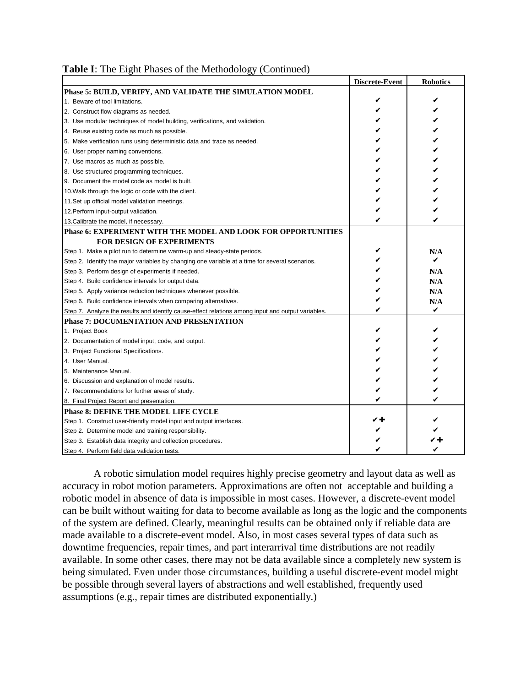|  |  |  | Table I: The Eight Phases of the Methodology (Continued) |  |
|--|--|--|----------------------------------------------------------|--|
|  |  |  |                                                          |  |

|                                                                                                   | Discrete-Event | <b>Robotics</b> |
|---------------------------------------------------------------------------------------------------|----------------|-----------------|
| Phase 5: BUILD, VERIFY, AND VALIDATE THE SIMULATION MODEL                                         |                |                 |
| 1. Beware of tool limitations.                                                                    | V              |                 |
| 2. Construct flow diagrams as needed.                                                             |                |                 |
| 3. Use modular techniques of model building, verifications, and validation.                       |                | V               |
| 4. Reuse existing code as much as possible.                                                       |                | V               |
| 5. Make verification runs using deterministic data and trace as needed.                           |                | V               |
| 6. User proper naming conventions.                                                                |                |                 |
| 7. Use macros as much as possible.                                                                |                |                 |
| 8. Use structured programming techniques.                                                         |                |                 |
| 9. Document the model code as model is built.                                                     |                |                 |
| 10. Walk through the logic or code with the client.                                               |                |                 |
| 11. Set up official model validation meetings.                                                    |                |                 |
| 12. Perform input-output validation.                                                              |                |                 |
| 13. Calibrate the model, if necessary.                                                            |                |                 |
| Phase 6: EXPERIMENT WITH THE MODEL AND LOOK FOR OPPORTUNITIES                                     |                |                 |
| <b>FOR DESIGN OF EXPERIMENTS</b>                                                                  |                |                 |
| Step 1. Make a pilot run to determine warm-up and steady-state periods.                           | v              | N/A             |
| Step 2. Identify the major variables by changing one variable at a time for several scenarios.    |                | V               |
| Step 3. Perform design of experiments if needed.                                                  |                | N/A             |
| Step 4. Build confidence intervals for output data.                                               |                | N/A             |
| Step 5. Apply variance reduction techniques whenever possible.                                    |                | N/A             |
| Step 6. Build confidence intervals when comparing alternatives.                                   |                | N/A             |
| Step 7. Analyze the results and identify cause-effect relations among input and output variables. |                | V               |
| <b>Phase 7: DOCUMENTATION AND PRESENTATION</b>                                                    |                |                 |
| 1. Project Book                                                                                   |                | V               |
| 2. Documentation of model input, code, and output.                                                |                | V               |
| 3. Project Functional Specifications.                                                             |                | V               |
| 4. User Manual.                                                                                   |                | V               |
| 5. Maintenance Manual.                                                                            |                |                 |
| 6. Discussion and explanation of model results.                                                   |                |                 |
| 7. Recommendations for further areas of study.                                                    |                |                 |
| 8. Final Project Report and presentation.                                                         |                |                 |
| <b>Phase 8: DEFINE THE MODEL LIFE CYCLE</b>                                                       |                |                 |
| Step 1. Construct user-friendly model input and output interfaces.                                |                |                 |
| Step 2. Determine model and training responsibility.                                              |                |                 |
| Step 3. Establish data integrity and collection procedures.                                       |                |                 |
| Step 4. Perform field data validation tests.                                                      |                |                 |

 A robotic simulation model requires highly precise geometry and layout data as well as accuracy in robot motion parameters. Approximations are often not acceptable and building a robotic model in absence of data is impossible in most cases. However, a discrete-event model can be built without waiting for data to become available as long as the logic and the components of the system are defined. Clearly, meaningful results can be obtained only if reliable data are made available to a discrete-event model. Also, in most cases several types of data such as downtime frequencies, repair times, and part interarrival time distributions are not readily available. In some other cases, there may not be data available since a completely new system is being simulated. Even under those circumstances, building a useful discrete-event model might be possible through several layers of abstractions and well established, frequently used assumptions (e.g., repair times are distributed exponentially.)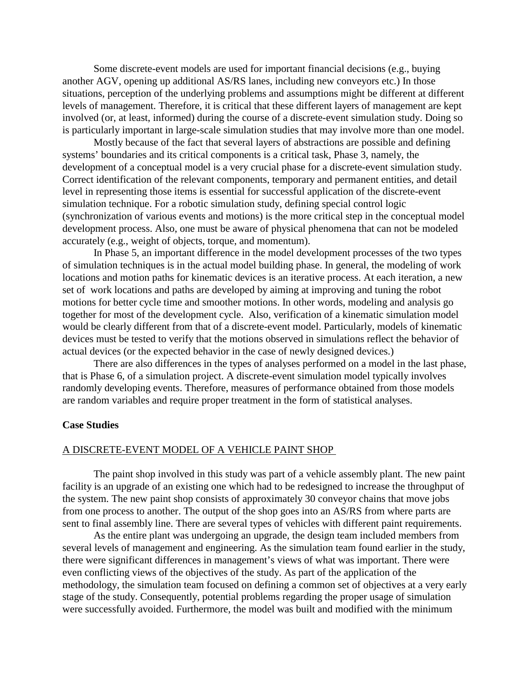Some discrete-event models are used for important financial decisions (e.g., buying another AGV, opening up additional AS/RS lanes, including new conveyors etc.) In those situations, perception of the underlying problems and assumptions might be different at different levels of management. Therefore, it is critical that these different layers of management are kept involved (or, at least, informed) during the course of a discrete-event simulation study. Doing so is particularly important in large-scale simulation studies that may involve more than one model.

 Mostly because of the fact that several layers of abstractions are possible and defining systems' boundaries and its critical components is a critical task, Phase 3, namely, the development of a conceptual model is a very crucial phase for a discrete-event simulation study. Correct identification of the relevant components, temporary and permanent entities, and detail level in representing those items is essential for successful application of the discrete-event simulation technique. For a robotic simulation study, defining special control logic (synchronization of various events and motions) is the more critical step in the conceptual model development process. Also, one must be aware of physical phenomena that can not be modeled accurately (e.g., weight of objects, torque, and momentum).

 In Phase 5, an important difference in the model development processes of the two types of simulation techniques is in the actual model building phase. In general, the modeling of work locations and motion paths for kinematic devices is an iterative process. At each iteration, a new set of work locations and paths are developed by aiming at improving and tuning the robot motions for better cycle time and smoother motions. In other words, modeling and analysis go together for most of the development cycle. Also, verification of a kinematic simulation model would be clearly different from that of a discrete-event model. Particularly, models of kinematic devices must be tested to verify that the motions observed in simulations reflect the behavior of actual devices (or the expected behavior in the case of newly designed devices.)

 There are also differences in the types of analyses performed on a model in the last phase, that is Phase 6, of a simulation project. A discrete-event simulation model typically involves randomly developing events. Therefore, measures of performance obtained from those models are random variables and require proper treatment in the form of statistical analyses.

## **Case Studies**

#### A DISCRETE-EVENT MODEL OF A VEHICLE PAINT SHOP

 The paint shop involved in this study was part of a vehicle assembly plant. The new paint facility is an upgrade of an existing one which had to be redesigned to increase the throughput of the system. The new paint shop consists of approximately 30 conveyor chains that move jobs from one process to another. The output of the shop goes into an AS/RS from where parts are sent to final assembly line. There are several types of vehicles with different paint requirements.

 As the entire plant was undergoing an upgrade, the design team included members from several levels of management and engineering. As the simulation team found earlier in the study, there were significant differences in management's views of what was important. There were even conflicting views of the objectives of the study. As part of the application of the methodology, the simulation team focused on defining a common set of objectives at a very early stage of the study. Consequently, potential problems regarding the proper usage of simulation were successfully avoided. Furthermore, the model was built and modified with the minimum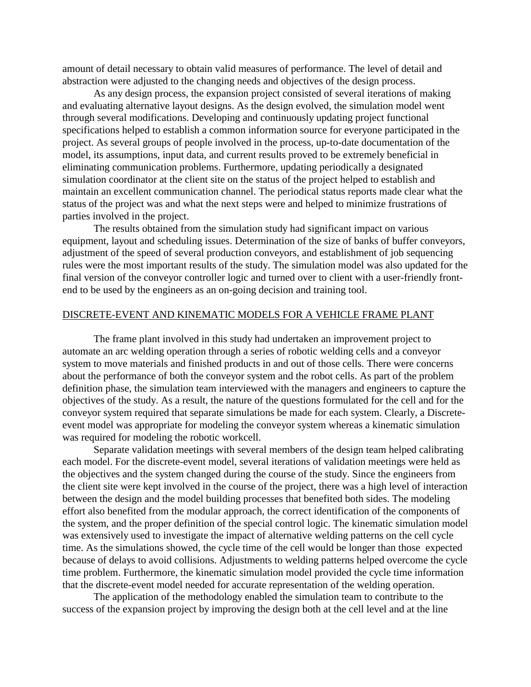amount of detail necessary to obtain valid measures of performance. The level of detail and abstraction were adjusted to the changing needs and objectives of the design process.

 As any design process, the expansion project consisted of several iterations of making and evaluating alternative layout designs. As the design evolved, the simulation model went through several modifications. Developing and continuously updating project functional specifications helped to establish a common information source for everyone participated in the project. As several groups of people involved in the process, up-to-date documentation of the model, its assumptions, input data, and current results proved to be extremely beneficial in eliminating communication problems. Furthermore, updating periodically a designated simulation coordinator at the client site on the status of the project helped to establish and maintain an excellent communication channel. The periodical status reports made clear what the status of the project was and what the next steps were and helped to minimize frustrations of parties involved in the project.

 The results obtained from the simulation study had significant impact on various equipment, layout and scheduling issues. Determination of the size of banks of buffer conveyors, adjustment of the speed of several production conveyors, and establishment of job sequencing rules were the most important results of the study. The simulation model was also updated for the final version of the conveyor controller logic and turned over to client with a user-friendly frontend to be used by the engineers as an on-going decision and training tool.

#### DISCRETE-EVENT AND KINEMATIC MODELS FOR A VEHICLE FRAME PLANT

 The frame plant involved in this study had undertaken an improvement project to automate an arc welding operation through a series of robotic welding cells and a conveyor system to move materials and finished products in and out of those cells. There were concerns about the performance of both the conveyor system and the robot cells. As part of the problem definition phase, the simulation team interviewed with the managers and engineers to capture the objectives of the study. As a result, the nature of the questions formulated for the cell and for the conveyor system required that separate simulations be made for each system. Clearly, a Discreteevent model was appropriate for modeling the conveyor system whereas a kinematic simulation was required for modeling the robotic workcell.

 Separate validation meetings with several members of the design team helped calibrating each model. For the discrete-event model, several iterations of validation meetings were held as the objectives and the system changed during the course of the study. Since the engineers from the client site were kept involved in the course of the project, there was a high level of interaction between the design and the model building processes that benefited both sides. The modeling effort also benefited from the modular approach, the correct identification of the components of the system, and the proper definition of the special control logic. The kinematic simulation model was extensively used to investigate the impact of alternative welding patterns on the cell cycle time. As the simulations showed, the cycle time of the cell would be longer than those expected because of delays to avoid collisions. Adjustments to welding patterns helped overcome the cycle time problem. Furthermore, the kinematic simulation model provided the cycle time information that the discrete-event model needed for accurate representation of the welding operation.

 The application of the methodology enabled the simulation team to contribute to the success of the expansion project by improving the design both at the cell level and at the line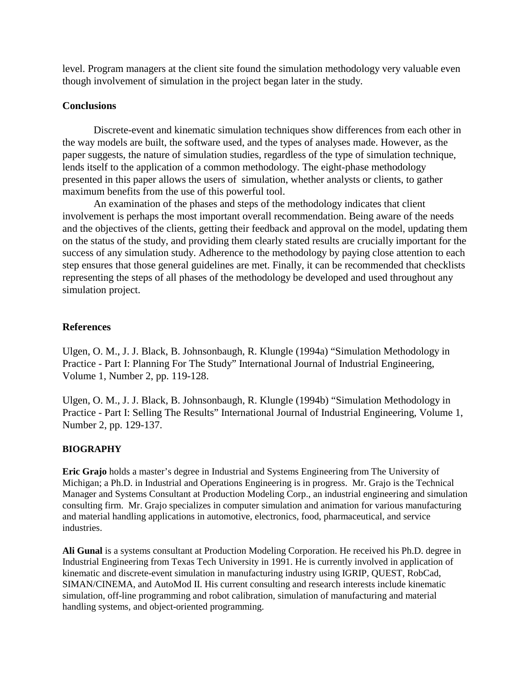level. Program managers at the client site found the simulation methodology very valuable even though involvement of simulation in the project began later in the study.

# **Conclusions**

 Discrete-event and kinematic simulation techniques show differences from each other in the way models are built, the software used, and the types of analyses made. However, as the paper suggests, the nature of simulation studies, regardless of the type of simulation technique, lends itself to the application of a common methodology. The eight-phase methodology presented in this paper allows the users of simulation, whether analysts or clients, to gather maximum benefits from the use of this powerful tool.

 An examination of the phases and steps of the methodology indicates that client involvement is perhaps the most important overall recommendation. Being aware of the needs and the objectives of the clients, getting their feedback and approval on the model, updating them on the status of the study, and providing them clearly stated results are crucially important for the success of any simulation study. Adherence to the methodology by paying close attention to each step ensures that those general guidelines are met. Finally, it can be recommended that checklists representing the steps of all phases of the methodology be developed and used throughout any simulation project.

# **References**

Ulgen, O. M., J. J. Black, B. Johnsonbaugh, R. Klungle (1994a) "Simulation Methodology in Practice - Part I: Planning For The Study" International Journal of Industrial Engineering, Volume 1, Number 2, pp. 119-128.

Ulgen, O. M., J. J. Black, B. Johnsonbaugh, R. Klungle (1994b) "Simulation Methodology in Practice - Part I: Selling The Results" International Journal of Industrial Engineering, Volume 1, Number 2, pp. 129-137.

# **BIOGRAPHY**

**Eric Grajo** holds a master's degree in Industrial and Systems Engineering from The University of Michigan; a Ph.D. in Industrial and Operations Engineering is in progress. Mr. Grajo is the Technical Manager and Systems Consultant at Production Modeling Corp., an industrial engineering and simulation consulting firm. Mr. Grajo specializes in computer simulation and animation for various manufacturing and material handling applications in automotive, electronics, food, pharmaceutical, and service industries.

**Ali Gunal** is a systems consultant at Production Modeling Corporation. He received his Ph.D. degree in Industrial Engineering from Texas Tech University in 1991. He is currently involved in application of kinematic and discrete-event simulation in manufacturing industry using IGRIP, QUEST, RobCad, SIMAN/CINEMA, and AutoMod II. His current consulting and research interests include kinematic simulation, off-line programming and robot calibration, simulation of manufacturing and material handling systems, and object-oriented programming.